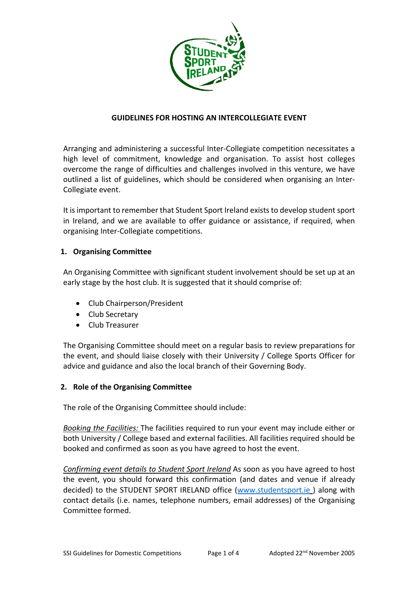

## **GUIDELINES FOR HOSTING AN INTERCOLLEGIATE EVENT**

Arranging and administering a successful Inter‐Collegiate competition necessitates a high level of commitment, knowledge and organisation. To assist host colleges overcome the range of difficulties and challenges involved in this venture, we have outlined a list of guidelines, which should be considered when organising an Inter‐ Collegiate event.

It isimportant to remember that Student Sport Ireland existsto develop student sport in Ireland, and we are available to offer guidance or assistance, if required, when organising Inter‐Collegiate competitions.

## **1. Organising Committee**

An Organising Committee with significant student involvement should be set up at an early stage by the host club. It is suggested that it should comprise of:

- Club Chairperson/President
- Club Secretary
- Club Treasurer

The Organising Committee should meet on a regular basis to review preparations for the event, and should liaise closely with their University / College Sports Officer for advice and guidance and also the local branch of their Governing Body.

# **2. Role of the Organising Committee**

The role of the Organising Committee should include:

*Booking the Facilities:* The facilities required to run your event may include either or both University / College based and external facilities. All facilities required should be booked and confirmed as soon as you have agreed to host the event.

*Confirming event details to Student Sport Ireland* As soon as you have agreed to host the event, you should forward this confirmation (and dates and venue if already decided) to the STUDENT SPORT IRELAND office (www.studentsport.ie ) along with contact details (i.e. names, telephone numbers, email addresses) of the Organising Committee formed.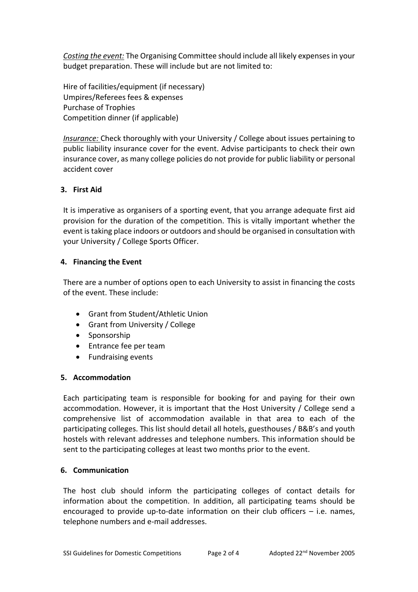*Costing the event:* The Organising Committee should include all likely expensesin your budget preparation. These will include but are not limited to:

Hire of facilities/equipment (if necessary) Umpires/Referees fees & expenses Purchase of Trophies Competition dinner (if applicable)

*Insurance:* Check thoroughly with your University / College about issues pertaining to public liability insurance cover for the event. Advise participants to check their own insurance cover, as many college policies do not provide for public liability or personal accident cover

# **3. First Aid**

It is imperative as organisers of a sporting event, that you arrange adequate first aid provision for the duration of the competition. This is vitally important whether the event istaking place indoors or outdoors and should be organised in consultation with your University / College Sports Officer.

# **4. Financing the Event**

There are a number of options open to each University to assist in financing the costs of the event. These include:

- Grant from Student/Athletic Union
- Grant from University / College
- Sponsorship
- Entrance fee per team
- Fundraising events

# **5. Accommodation**

Each participating team is responsible for booking for and paying for their own accommodation. However, it is important that the Host University / College send a comprehensive list of accommodation available in that area to each of the participating colleges. This list should detail all hotels, guesthouses / B&B's and youth hostels with relevant addresses and telephone numbers. This information should be sent to the participating colleges at least two months prior to the event.

# **6. Communication**

The host club should inform the participating colleges of contact details for information about the competition. In addition, all participating teams should be encouraged to provide up-to-date information on their club officers  $-$  i.e. names, telephone numbers and e‐mail addresses.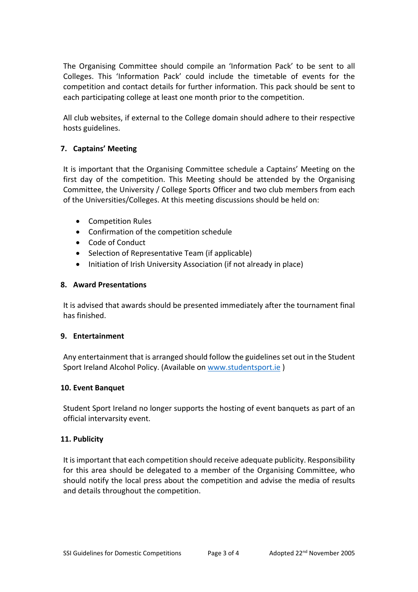The Organising Committee should compile an 'Information Pack' to be sent to all Colleges. This 'Information Pack' could include the timetable of events for the competition and contact details for further information. This pack should be sent to each participating college at least one month prior to the competition.

All club websites, if external to the College domain should adhere to their respective hosts guidelines.

# **7. Captains' Meeting**

It is important that the Organising Committee schedule a Captains' Meeting on the first day of the competition. This Meeting should be attended by the Organising Committee, the University / College Sports Officer and two club members from each of the Universities/Colleges. At this meeting discussions should be held on:

- Competition Rules
- Confirmation of the competition schedule
- Code of Conduct
- Selection of Representative Team (if applicable)
- Initiation of Irish University Association (if not already in place)

#### **8. Award Presentations**

It is advised that awards should be presented immediately after the tournament final has finished.

### **9. Entertainment**

Any entertainment that is arranged should follow the guidelines set out in the Student Sport Ireland Alcohol Policy. (Available on www.studentsport.ie )

### **10. Event Banquet**

Student Sport Ireland no longer supports the hosting of event banquets as part of an official intervarsity event.

### **11. Publicity**

It isimportant that each competition should receive adequate publicity. Responsibility for this area should be delegated to a member of the Organising Committee, who should notify the local press about the competition and advise the media of results and details throughout the competition.